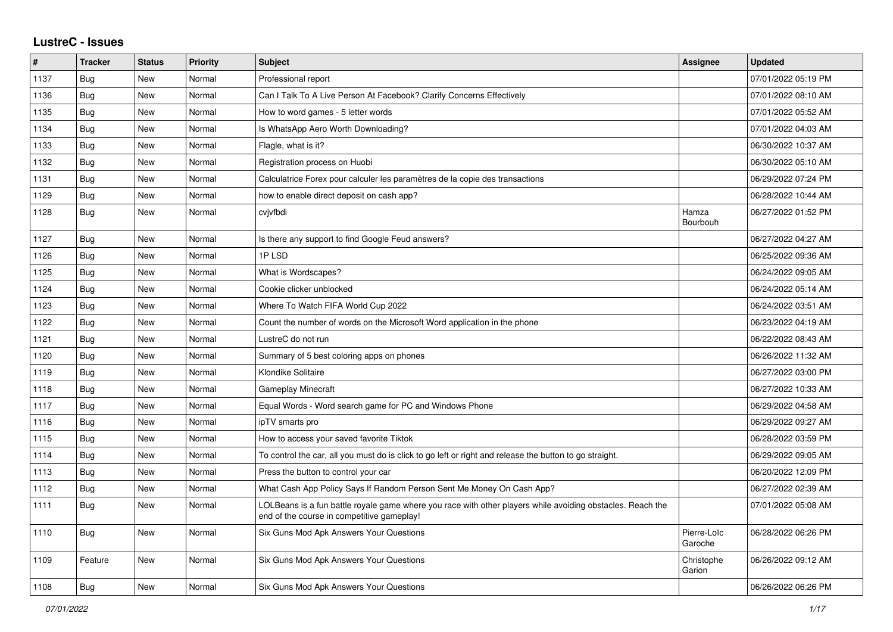## **LustreC - Issues**

| #    | <b>Tracker</b> | <b>Status</b> | Priority | <b>Subject</b>                                                                                                                                           | <b>Assignee</b>        | <b>Updated</b>      |
|------|----------------|---------------|----------|----------------------------------------------------------------------------------------------------------------------------------------------------------|------------------------|---------------------|
| 1137 | Bug            | <b>New</b>    | Normal   | Professional report                                                                                                                                      |                        | 07/01/2022 05:19 PM |
| 1136 | Bug            | New           | Normal   | Can I Talk To A Live Person At Facebook? Clarify Concerns Effectively                                                                                    |                        | 07/01/2022 08:10 AM |
| 1135 | Bug            | New           | Normal   | How to word games - 5 letter words                                                                                                                       |                        | 07/01/2022 05:52 AM |
| 1134 | <b>Bug</b>     | <b>New</b>    | Normal   | Is WhatsApp Aero Worth Downloading?                                                                                                                      |                        | 07/01/2022 04:03 AM |
| 1133 | Bug            | New           | Normal   | Flagle, what is it?                                                                                                                                      |                        | 06/30/2022 10:37 AM |
| 1132 | Bug            | <b>New</b>    | Normal   | Registration process on Huobi                                                                                                                            |                        | 06/30/2022 05:10 AM |
| 1131 | <b>Bug</b>     | New           | Normal   | Calculatrice Forex pour calculer les paramètres de la copie des transactions                                                                             |                        | 06/29/2022 07:24 PM |
| 1129 | <b>Bug</b>     | New           | Normal   | how to enable direct deposit on cash app?                                                                                                                |                        | 06/28/2022 10:44 AM |
| 1128 | Bug            | New           | Normal   | cvjvfbdi                                                                                                                                                 | Hamza<br>Bourbouh      | 06/27/2022 01:52 PM |
| 1127 | Bug            | <b>New</b>    | Normal   | Is there any support to find Google Feud answers?                                                                                                        |                        | 06/27/2022 04:27 AM |
| 1126 | Bug            | New           | Normal   | 1PLSD                                                                                                                                                    |                        | 06/25/2022 09:36 AM |
| 1125 | <b>Bug</b>     | New           | Normal   | What is Wordscapes?                                                                                                                                      |                        | 06/24/2022 09:05 AM |
| 1124 | <b>Bug</b>     | <b>New</b>    | Normal   | Cookie clicker unblocked                                                                                                                                 |                        | 06/24/2022 05:14 AM |
| 1123 | Bug            | <b>New</b>    | Normal   | Where To Watch FIFA World Cup 2022                                                                                                                       |                        | 06/24/2022 03:51 AM |
| 1122 | <b>Bug</b>     | New           | Normal   | Count the number of words on the Microsoft Word application in the phone                                                                                 |                        | 06/23/2022 04:19 AM |
| 1121 | Bug            | New           | Normal   | LustreC do not run                                                                                                                                       |                        | 06/22/2022 08:43 AM |
| 1120 | <b>Bug</b>     | New           | Normal   | Summary of 5 best coloring apps on phones                                                                                                                |                        | 06/26/2022 11:32 AM |
| 1119 | Bug            | New           | Normal   | Klondike Solitaire                                                                                                                                       |                        | 06/27/2022 03:00 PM |
| 1118 | <b>Bug</b>     | <b>New</b>    | Normal   | <b>Gameplay Minecraft</b>                                                                                                                                |                        | 06/27/2022 10:33 AM |
| 1117 | <b>Bug</b>     | New           | Normal   | Equal Words - Word search game for PC and Windows Phone                                                                                                  |                        | 06/29/2022 04:58 AM |
| 1116 | Bug            | New           | Normal   | ipTV smarts pro                                                                                                                                          |                        | 06/29/2022 09:27 AM |
| 1115 | <b>Bug</b>     | <b>New</b>    | Normal   | How to access your saved favorite Tiktok                                                                                                                 |                        | 06/28/2022 03:59 PM |
| 1114 | Bug            | New           | Normal   | To control the car, all you must do is click to go left or right and release the button to go straight.                                                  |                        | 06/29/2022 09:05 AM |
| 1113 | Bug            | New           | Normal   | Press the button to control your car                                                                                                                     |                        | 06/20/2022 12:09 PM |
| 1112 | Bug            | New           | Normal   | What Cash App Policy Says If Random Person Sent Me Money On Cash App?                                                                                    |                        | 06/27/2022 02:39 AM |
| 1111 | Bug            | New           | Normal   | LOLBeans is a fun battle royale game where you race with other players while avoiding obstacles. Reach the<br>end of the course in competitive gameplay! |                        | 07/01/2022 05:08 AM |
| 1110 | <b>Bug</b>     | <b>New</b>    | Normal   | Six Guns Mod Apk Answers Your Questions                                                                                                                  | Pierre-Loïc<br>Garoche | 06/28/2022 06:26 PM |
| 1109 | Feature        | <b>New</b>    | Normal   | Six Guns Mod Apk Answers Your Questions                                                                                                                  | Christophe<br>Garion   | 06/26/2022 09:12 AM |
| 1108 | <b>Bug</b>     | <b>New</b>    | Normal   | Six Guns Mod Apk Answers Your Questions                                                                                                                  |                        | 06/26/2022 06:26 PM |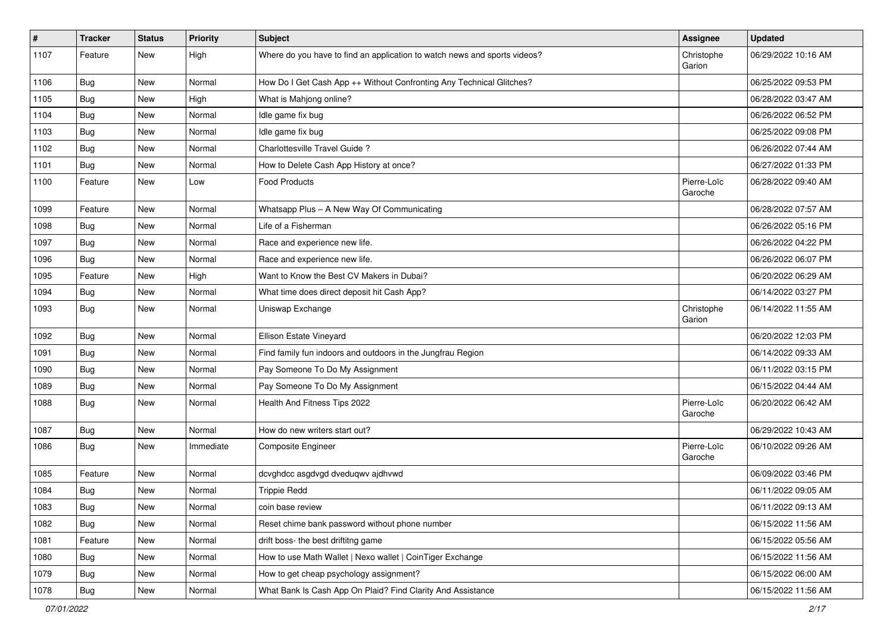| #    | <b>Tracker</b> | <b>Status</b> | <b>Priority</b> | <b>Subject</b>                                                            | <b>Assignee</b>        | <b>Updated</b>      |
|------|----------------|---------------|-----------------|---------------------------------------------------------------------------|------------------------|---------------------|
| 1107 | Feature        | New           | High            | Where do you have to find an application to watch news and sports videos? | Christophe<br>Garion   | 06/29/2022 10:16 AM |
| 1106 | Bug            | <b>New</b>    | Normal          | How Do I Get Cash App ++ Without Confronting Any Technical Glitches?      |                        | 06/25/2022 09:53 PM |
| 1105 | Bug            | New           | High            | What is Mahjong online?                                                   |                        | 06/28/2022 03:47 AM |
| 1104 | Bug            | New           | Normal          | Idle game fix bug                                                         |                        | 06/26/2022 06:52 PM |
| 1103 | Bug            | New           | Normal          | Idle game fix bug                                                         |                        | 06/25/2022 09:08 PM |
| 1102 | Bug            | New           | Normal          | Charlottesville Travel Guide?                                             |                        | 06/26/2022 07:44 AM |
| 1101 | Bug            | New           | Normal          | How to Delete Cash App History at once?                                   |                        | 06/27/2022 01:33 PM |
| 1100 | Feature        | New           | Low             | <b>Food Products</b>                                                      | Pierre-Loïc<br>Garoche | 06/28/2022 09:40 AM |
| 1099 | Feature        | <b>New</b>    | Normal          | Whatsapp Plus - A New Way Of Communicating                                |                        | 06/28/2022 07:57 AM |
| 1098 | Bug            | New           | Normal          | Life of a Fisherman                                                       |                        | 06/26/2022 05:16 PM |
| 1097 | Bug            | New           | Normal          | Race and experience new life.                                             |                        | 06/26/2022 04:22 PM |
| 1096 | Bug            | New           | Normal          | Race and experience new life.                                             |                        | 06/26/2022 06:07 PM |
| 1095 | Feature        | New           | High            | Want to Know the Best CV Makers in Dubai?                                 |                        | 06/20/2022 06:29 AM |
| 1094 | Bug            | New           | Normal          | What time does direct deposit hit Cash App?                               |                        | 06/14/2022 03:27 PM |
| 1093 | Bug            | New           | Normal          | Uniswap Exchange                                                          | Christophe<br>Garion   | 06/14/2022 11:55 AM |
| 1092 | Bug            | New           | Normal          | Ellison Estate Vineyard                                                   |                        | 06/20/2022 12:03 PM |
| 1091 | Bug            | New           | Normal          | Find family fun indoors and outdoors in the Jungfrau Region               |                        | 06/14/2022 09:33 AM |
| 1090 | Bug            | New           | Normal          | Pay Someone To Do My Assignment                                           |                        | 06/11/2022 03:15 PM |
| 1089 | Bug            | New           | Normal          | Pay Someone To Do My Assignment                                           |                        | 06/15/2022 04:44 AM |
| 1088 | Bug            | New           | Normal          | Health And Fitness Tips 2022                                              | Pierre-Loïc<br>Garoche | 06/20/2022 06:42 AM |
| 1087 | Bug            | New           | Normal          | How do new writers start out?                                             |                        | 06/29/2022 10:43 AM |
| 1086 | Bug            | New           | Immediate       | <b>Composite Engineer</b>                                                 | Pierre-Loïc<br>Garoche | 06/10/2022 09:26 AM |
| 1085 | Feature        | New           | Normal          | dcvghdcc asgdvgd dveduqwv ajdhvwd                                         |                        | 06/09/2022 03:46 PM |
| 1084 | <b>Bug</b>     | New           | Normal          | <b>Trippie Redd</b>                                                       |                        | 06/11/2022 09:05 AM |
| 1083 | Bug            | New           | Normal          | coin base review                                                          |                        | 06/11/2022 09:13 AM |
| 1082 | Bug            | New           | Normal          | Reset chime bank password without phone number                            |                        | 06/15/2022 11:56 AM |
| 1081 | Feature        | New           | Normal          | drift boss- the best driftitng game                                       |                        | 06/15/2022 05:56 AM |
| 1080 | Bug            | New           | Normal          | How to use Math Wallet   Nexo wallet   CoinTiger Exchange                 |                        | 06/15/2022 11:56 AM |
| 1079 | Bug            | New           | Normal          | How to get cheap psychology assignment?                                   |                        | 06/15/2022 06:00 AM |
| 1078 | <b>Bug</b>     | New           | Normal          | What Bank Is Cash App On Plaid? Find Clarity And Assistance               |                        | 06/15/2022 11:56 AM |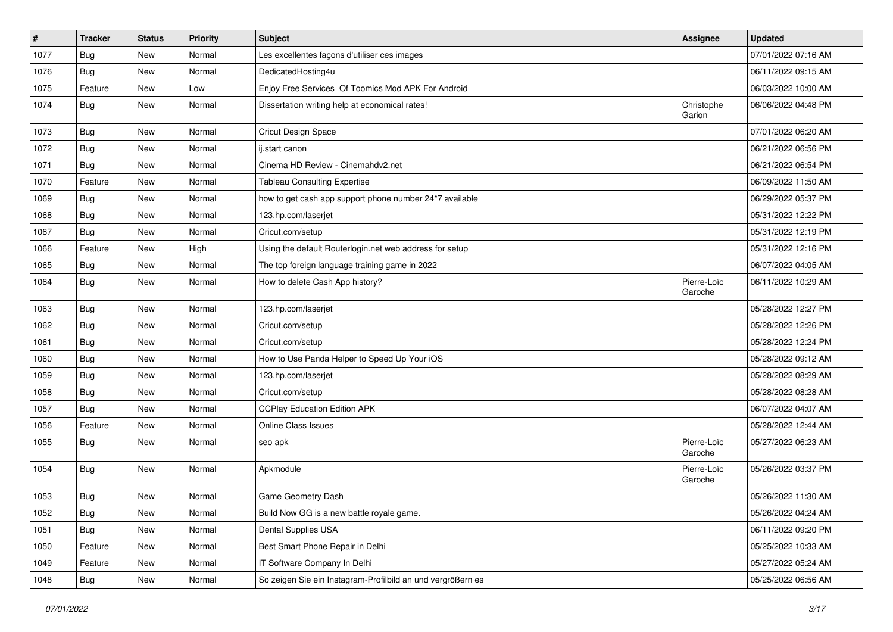| $\sharp$ | <b>Tracker</b> | <b>Status</b> | <b>Priority</b> | <b>Subject</b>                                              | <b>Assignee</b>        | <b>Updated</b>      |
|----------|----------------|---------------|-----------------|-------------------------------------------------------------|------------------------|---------------------|
| 1077     | Bug            | New           | Normal          | Les excellentes façons d'utiliser ces images                |                        | 07/01/2022 07:16 AM |
| 1076     | Bug            | <b>New</b>    | Normal          | DedicatedHosting4u                                          |                        | 06/11/2022 09:15 AM |
| 1075     | Feature        | New           | Low             | Enjoy Free Services Of Toomics Mod APK For Android          |                        | 06/03/2022 10:00 AM |
| 1074     | Bug            | New           | Normal          | Dissertation writing help at economical rates!              | Christophe<br>Garion   | 06/06/2022 04:48 PM |
| 1073     | Bug            | <b>New</b>    | Normal          | Cricut Design Space                                         |                        | 07/01/2022 06:20 AM |
| 1072     | Bug            | <b>New</b>    | Normal          | ij.start canon                                              |                        | 06/21/2022 06:56 PM |
| 1071     | Bug            | New           | Normal          | Cinema HD Review - Cinemahdv2.net                           |                        | 06/21/2022 06:54 PM |
| 1070     | Feature        | New           | Normal          | <b>Tableau Consulting Expertise</b>                         |                        | 06/09/2022 11:50 AM |
| 1069     | <b>Bug</b>     | <b>New</b>    | Normal          | how to get cash app support phone number 24*7 available     |                        | 06/29/2022 05:37 PM |
| 1068     | Bug            | New           | Normal          | 123.hp.com/laserjet                                         |                        | 05/31/2022 12:22 PM |
| 1067     | Bug            | New           | Normal          | Cricut.com/setup                                            |                        | 05/31/2022 12:19 PM |
| 1066     | Feature        | <b>New</b>    | High            | Using the default Routerlogin.net web address for setup     |                        | 05/31/2022 12:16 PM |
| 1065     | Bug            | New           | Normal          | The top foreign language training game in 2022              |                        | 06/07/2022 04:05 AM |
| 1064     | Bug            | New           | Normal          | How to delete Cash App history?                             | Pierre-Loïc<br>Garoche | 06/11/2022 10:29 AM |
| 1063     | Bug            | New           | Normal          | 123.hp.com/laserjet                                         |                        | 05/28/2022 12:27 PM |
| 1062     | Bug            | <b>New</b>    | Normal          | Cricut.com/setup                                            |                        | 05/28/2022 12:26 PM |
| 1061     | Bug            | <b>New</b>    | Normal          | Cricut.com/setup                                            |                        | 05/28/2022 12:24 PM |
| 1060     | Bug            | <b>New</b>    | Normal          | How to Use Panda Helper to Speed Up Your iOS                |                        | 05/28/2022 09:12 AM |
| 1059     | Bug            | New           | Normal          | 123.hp.com/laserjet                                         |                        | 05/28/2022 08:29 AM |
| 1058     | Bug            | <b>New</b>    | Normal          | Cricut.com/setup                                            |                        | 05/28/2022 08:28 AM |
| 1057     | Bug            | <b>New</b>    | Normal          | <b>CCPlay Education Edition APK</b>                         |                        | 06/07/2022 04:07 AM |
| 1056     | Feature        | New           | Normal          | <b>Online Class Issues</b>                                  |                        | 05/28/2022 12:44 AM |
| 1055     | Bug            | New           | Normal          | seo apk                                                     | Pierre-Loïc<br>Garoche | 05/27/2022 06:23 AM |
| 1054     | Bug            | <b>New</b>    | Normal          | Apkmodule                                                   | Pierre-Loïc<br>Garoche | 05/26/2022 03:37 PM |
| 1053     | <b>Bug</b>     | <b>New</b>    | Normal          | Game Geometry Dash                                          |                        | 05/26/2022 11:30 AM |
| 1052     | <b>Bug</b>     | New           | Normal          | Build Now GG is a new battle royale game.                   |                        | 05/26/2022 04:24 AM |
| 1051     | Bug            | New           | Normal          | Dental Supplies USA                                         |                        | 06/11/2022 09:20 PM |
| 1050     | Feature        | New           | Normal          | Best Smart Phone Repair in Delhi                            |                        | 05/25/2022 10:33 AM |
| 1049     | Feature        | New           | Normal          | IT Software Company In Delhi                                |                        | 05/27/2022 05:24 AM |
| 1048     | <b>Bug</b>     | New           | Normal          | So zeigen Sie ein Instagram-Profilbild an und vergrößern es |                        | 05/25/2022 06:56 AM |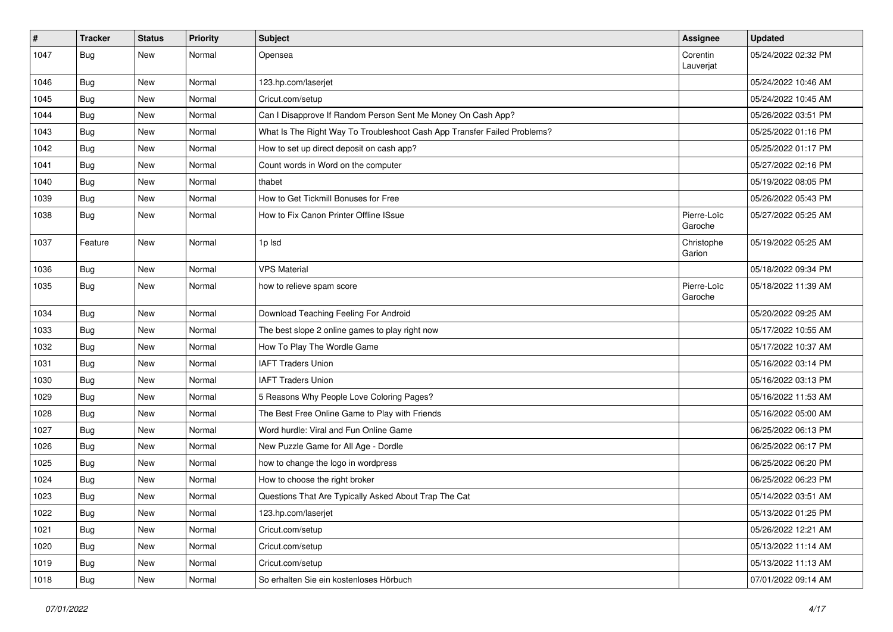| $\sharp$ | <b>Tracker</b> | <b>Status</b> | <b>Priority</b> | Subject                                                                  | <b>Assignee</b>        | <b>Updated</b>      |
|----------|----------------|---------------|-----------------|--------------------------------------------------------------------------|------------------------|---------------------|
| 1047     | Bug            | New           | Normal          | Opensea                                                                  | Corentin<br>Lauverjat  | 05/24/2022 02:32 PM |
| 1046     | Bug            | New           | Normal          | 123.hp.com/laserjet                                                      |                        | 05/24/2022 10:46 AM |
| 1045     | <b>Bug</b>     | New           | Normal          | Cricut.com/setup                                                         |                        | 05/24/2022 10:45 AM |
| 1044     | Bug            | <b>New</b>    | Normal          | Can I Disapprove If Random Person Sent Me Money On Cash App?             |                        | 05/26/2022 03:51 PM |
| 1043     | <b>Bug</b>     | New           | Normal          | What Is The Right Way To Troubleshoot Cash App Transfer Failed Problems? |                        | 05/25/2022 01:16 PM |
| 1042     | Bug            | <b>New</b>    | Normal          | How to set up direct deposit on cash app?                                |                        | 05/25/2022 01:17 PM |
| 1041     | Bug            | New           | Normal          | Count words in Word on the computer                                      |                        | 05/27/2022 02:16 PM |
| 1040     | <b>Bug</b>     | <b>New</b>    | Normal          | thabet                                                                   |                        | 05/19/2022 08:05 PM |
| 1039     | Bug            | <b>New</b>    | Normal          | How to Get Tickmill Bonuses for Free                                     |                        | 05/26/2022 05:43 PM |
| 1038     | Bug            | New           | Normal          | How to Fix Canon Printer Offline ISsue                                   | Pierre-Loïc<br>Garoche | 05/27/2022 05:25 AM |
| 1037     | Feature        | New           | Normal          | 1p Isd                                                                   | Christophe<br>Garion   | 05/19/2022 05:25 AM |
| 1036     | Bug            | New           | Normal          | <b>VPS Material</b>                                                      |                        | 05/18/2022 09:34 PM |
| 1035     | Bug            | New           | Normal          | how to relieve spam score                                                | Pierre-Loïc<br>Garoche | 05/18/2022 11:39 AM |
| 1034     | <b>Bug</b>     | New           | Normal          | Download Teaching Feeling For Android                                    |                        | 05/20/2022 09:25 AM |
| 1033     | Bug            | New           | Normal          | The best slope 2 online games to play right now                          |                        | 05/17/2022 10:55 AM |
| 1032     | <b>Bug</b>     | <b>New</b>    | Normal          | How To Play The Wordle Game                                              |                        | 05/17/2022 10:37 AM |
| 1031     | Bug            | <b>New</b>    | Normal          | <b>IAFT Traders Union</b>                                                |                        | 05/16/2022 03:14 PM |
| 1030     | <b>Bug</b>     | New           | Normal          | <b>IAFT Traders Union</b>                                                |                        | 05/16/2022 03:13 PM |
| 1029     | Bug            | <b>New</b>    | Normal          | 5 Reasons Why People Love Coloring Pages?                                |                        | 05/16/2022 11:53 AM |
| 1028     | Bug            | New           | Normal          | The Best Free Online Game to Play with Friends                           |                        | 05/16/2022 05:00 AM |
| 1027     | <b>Bug</b>     | <b>New</b>    | Normal          | Word hurdle: Viral and Fun Online Game                                   |                        | 06/25/2022 06:13 PM |
| 1026     | Bug            | <b>New</b>    | Normal          | New Puzzle Game for All Age - Dordle                                     |                        | 06/25/2022 06:17 PM |
| 1025     | Bug            | New           | Normal          | how to change the logo in wordpress                                      |                        | 06/25/2022 06:20 PM |
| 1024     | <b>Bug</b>     | New           | Normal          | How to choose the right broker                                           |                        | 06/25/2022 06:23 PM |
| 1023     | <b>Bug</b>     | <b>New</b>    | Normal          | Questions That Are Typically Asked About Trap The Cat                    |                        | 05/14/2022 03:51 AM |
| 1022     | <b>Bug</b>     | New           | Normal          | 123.hp.com/laserjet                                                      |                        | 05/13/2022 01:25 PM |
| 1021     | Bug            | New           | Normal          | Cricut.com/setup                                                         |                        | 05/26/2022 12:21 AM |
| 1020     | Bug            | New           | Normal          | Cricut.com/setup                                                         |                        | 05/13/2022 11:14 AM |
| 1019     | Bug            | New           | Normal          | Cricut.com/setup                                                         |                        | 05/13/2022 11:13 AM |
| 1018     | <b>Bug</b>     | New           | Normal          | So erhalten Sie ein kostenloses Hörbuch                                  |                        | 07/01/2022 09:14 AM |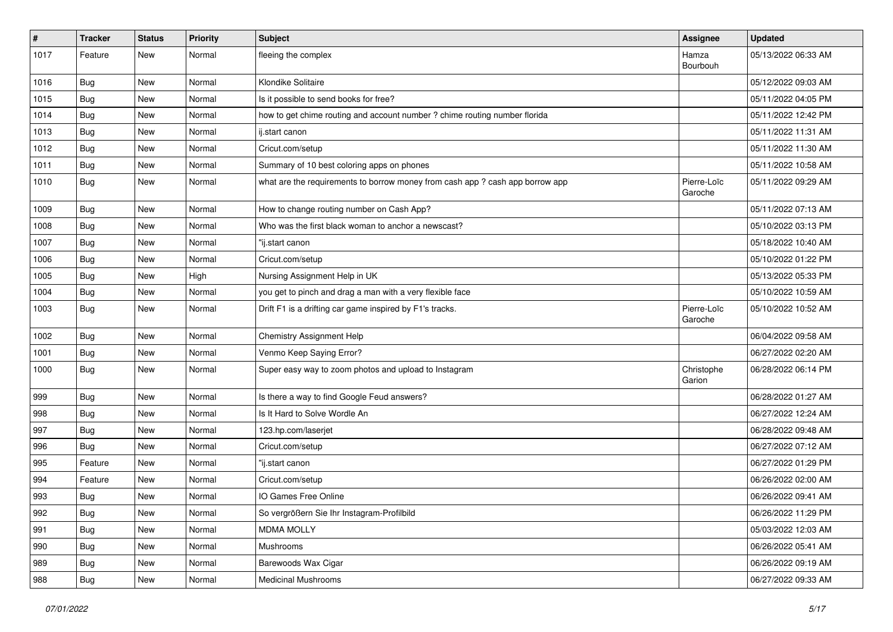| #    | Tracker    | <b>Status</b> | Priority | Subject                                                                       | <b>Assignee</b>        | <b>Updated</b>      |
|------|------------|---------------|----------|-------------------------------------------------------------------------------|------------------------|---------------------|
| 1017 | Feature    | New           | Normal   | fleeing the complex                                                           | Hamza<br>Bourbouh      | 05/13/2022 06:33 AM |
| 1016 | <b>Bug</b> | New           | Normal   | Klondike Solitaire                                                            |                        | 05/12/2022 09:03 AM |
| 1015 | <b>Bug</b> | New           | Normal   | Is it possible to send books for free?                                        |                        | 05/11/2022 04:05 PM |
| 1014 | Bug        | New           | Normal   | how to get chime routing and account number ? chime routing number florida    |                        | 05/11/2022 12:42 PM |
| 1013 | <b>Bug</b> | New           | Normal   | ij.start canon                                                                |                        | 05/11/2022 11:31 AM |
| 1012 | <b>Bug</b> | New           | Normal   | Cricut.com/setup                                                              |                        | 05/11/2022 11:30 AM |
| 1011 | Bug        | New           | Normal   | Summary of 10 best coloring apps on phones                                    |                        | 05/11/2022 10:58 AM |
| 1010 | <b>Bug</b> | New           | Normal   | what are the requirements to borrow money from cash app ? cash app borrow app | Pierre-Loïc<br>Garoche | 05/11/2022 09:29 AM |
| 1009 | <b>Bug</b> | New           | Normal   | How to change routing number on Cash App?                                     |                        | 05/11/2022 07:13 AM |
| 1008 | <b>Bug</b> | New           | Normal   | Who was the first black woman to anchor a newscast?                           |                        | 05/10/2022 03:13 PM |
| 1007 | <b>Bug</b> | New           | Normal   | 'ij.start canon                                                               |                        | 05/18/2022 10:40 AM |
| 1006 | <b>Bug</b> | New           | Normal   | Cricut.com/setup                                                              |                        | 05/10/2022 01:22 PM |
| 1005 | <b>Bug</b> | New           | High     | Nursing Assignment Help in UK                                                 |                        | 05/13/2022 05:33 PM |
| 1004 | Bug        | New           | Normal   | you get to pinch and drag a man with a very flexible face                     |                        | 05/10/2022 10:59 AM |
| 1003 | <b>Bug</b> | New           | Normal   | Drift F1 is a drifting car game inspired by F1's tracks.                      | Pierre-Loïc<br>Garoche | 05/10/2022 10:52 AM |
| 1002 | <b>Bug</b> | New           | Normal   | Chemistry Assignment Help                                                     |                        | 06/04/2022 09:58 AM |
| 1001 | Bug        | New           | Normal   | Venmo Keep Saying Error?                                                      |                        | 06/27/2022 02:20 AM |
| 1000 | <b>Bug</b> | New           | Normal   | Super easy way to zoom photos and upload to Instagram                         | Christophe<br>Garion   | 06/28/2022 06:14 PM |
| 999  | Bug        | New           | Normal   | Is there a way to find Google Feud answers?                                   |                        | 06/28/2022 01:27 AM |
| 998  | Bug        | New           | Normal   | Is It Hard to Solve Wordle An                                                 |                        | 06/27/2022 12:24 AM |
| 997  | <b>Bug</b> | New           | Normal   | 123.hp.com/laserjet                                                           |                        | 06/28/2022 09:48 AM |
| 996  | <b>Bug</b> | New           | Normal   | Cricut.com/setup                                                              |                        | 06/27/2022 07:12 AM |
| 995  | Feature    | New           | Normal   | "ij.start canon                                                               |                        | 06/27/2022 01:29 PM |
| 994  | Feature    | New           | Normal   | Cricut.com/setup                                                              |                        | 06/26/2022 02:00 AM |
| 993  | <b>Bug</b> | New           | Normal   | IO Games Free Online                                                          |                        | 06/26/2022 09:41 AM |
| 992  | <b>Bug</b> | New           | Normal   | So vergrößern Sie Ihr Instagram-Profilbild                                    |                        | 06/26/2022 11:29 PM |
| 991  | Bug        | New           | Normal   | <b>MDMA MOLLY</b>                                                             |                        | 05/03/2022 12:03 AM |
| 990  | Bug        | New           | Normal   | Mushrooms                                                                     |                        | 06/26/2022 05:41 AM |
| 989  | Bug        | New           | Normal   | Barewoods Wax Cigar                                                           |                        | 06/26/2022 09:19 AM |
| 988  | <b>Bug</b> | New           | Normal   | <b>Medicinal Mushrooms</b>                                                    |                        | 06/27/2022 09:33 AM |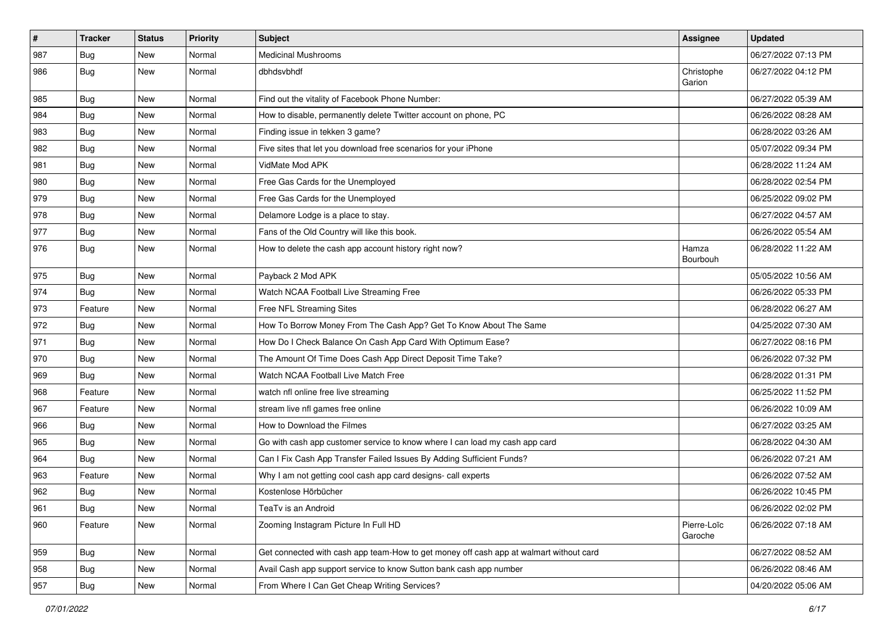| $\pmb{\#}$ | <b>Tracker</b> | <b>Status</b> | <b>Priority</b> | Subject                                                                                | Assignee               | <b>Updated</b>      |
|------------|----------------|---------------|-----------------|----------------------------------------------------------------------------------------|------------------------|---------------------|
| 987        | <b>Bug</b>     | New           | Normal          | <b>Medicinal Mushrooms</b>                                                             |                        | 06/27/2022 07:13 PM |
| 986        | Bug            | New           | Normal          | dbhdsvbhdf                                                                             | Christophe<br>Garion   | 06/27/2022 04:12 PM |
| 985        | <b>Bug</b>     | New           | Normal          | Find out the vitality of Facebook Phone Number:                                        |                        | 06/27/2022 05:39 AM |
| 984        | Bug            | New           | Normal          | How to disable, permanently delete Twitter account on phone, PC                        |                        | 06/26/2022 08:28 AM |
| 983        | <b>Bug</b>     | New           | Normal          | Finding issue in tekken 3 game?                                                        |                        | 06/28/2022 03:26 AM |
| 982        | <b>Bug</b>     | New           | Normal          | Five sites that let you download free scenarios for your iPhone                        |                        | 05/07/2022 09:34 PM |
| 981        | <b>Bug</b>     | New           | Normal          | VidMate Mod APK                                                                        |                        | 06/28/2022 11:24 AM |
| 980        | Bug            | New           | Normal          | Free Gas Cards for the Unemployed                                                      |                        | 06/28/2022 02:54 PM |
| 979        | Bug            | New           | Normal          | Free Gas Cards for the Unemployed                                                      |                        | 06/25/2022 09:02 PM |
| 978        | <b>Bug</b>     | New           | Normal          | Delamore Lodge is a place to stay.                                                     |                        | 06/27/2022 04:57 AM |
| 977        | Bug            | New           | Normal          | Fans of the Old Country will like this book.                                           |                        | 06/26/2022 05:54 AM |
| 976        | Bug            | New           | Normal          | How to delete the cash app account history right now?                                  | Hamza<br>Bourbouh      | 06/28/2022 11:22 AM |
| 975        | Bug            | <b>New</b>    | Normal          | Payback 2 Mod APK                                                                      |                        | 05/05/2022 10:56 AM |
| 974        | Bug            | New           | Normal          | Watch NCAA Football Live Streaming Free                                                |                        | 06/26/2022 05:33 PM |
| 973        | Feature        | New           | Normal          | Free NFL Streaming Sites                                                               |                        | 06/28/2022 06:27 AM |
| 972        | Bug            | New           | Normal          | How To Borrow Money From The Cash App? Get To Know About The Same                      |                        | 04/25/2022 07:30 AM |
| 971        | Bug            | New           | Normal          | How Do I Check Balance On Cash App Card With Optimum Ease?                             |                        | 06/27/2022 08:16 PM |
| 970        | Bug            | New           | Normal          | The Amount Of Time Does Cash App Direct Deposit Time Take?                             |                        | 06/26/2022 07:32 PM |
| 969        | <b>Bug</b>     | New           | Normal          | Watch NCAA Football Live Match Free                                                    |                        | 06/28/2022 01:31 PM |
| 968        | Feature        | New           | Normal          | watch nfl online free live streaming                                                   |                        | 06/25/2022 11:52 PM |
| 967        | Feature        | New           | Normal          | stream live nfl games free online                                                      |                        | 06/26/2022 10:09 AM |
| 966        | Bug            | New           | Normal          | How to Download the Filmes                                                             |                        | 06/27/2022 03:25 AM |
| 965        | <b>Bug</b>     | New           | Normal          | Go with cash app customer service to know where I can load my cash app card            |                        | 06/28/2022 04:30 AM |
| 964        | <b>Bug</b>     | New           | Normal          | Can I Fix Cash App Transfer Failed Issues By Adding Sufficient Funds?                  |                        | 06/26/2022 07:21 AM |
| 963        | Feature        | New           | Normal          | Why I am not getting cool cash app card designs- call experts                          |                        | 06/26/2022 07:52 AM |
| 962        | <b>Bug</b>     | New           | Normal          | Kostenlose Hörbücher                                                                   |                        | 06/26/2022 10:45 PM |
| 961        | Bug            | New           | Normal          | TeaTv is an Android                                                                    |                        | 06/26/2022 02:02 PM |
| 960        | Feature        | New           | Normal          | Zooming Instagram Picture In Full HD                                                   | Pierre-Loïc<br>Garoche | 06/26/2022 07:18 AM |
| 959        | Bug            | New           | Normal          | Get connected with cash app team-How to get money off cash app at walmart without card |                        | 06/27/2022 08:52 AM |
| 958        | Bug            | New           | Normal          | Avail Cash app support service to know Sutton bank cash app number                     |                        | 06/26/2022 08:46 AM |
| 957        | Bug            | New           | Normal          | From Where I Can Get Cheap Writing Services?                                           |                        | 04/20/2022 05:06 AM |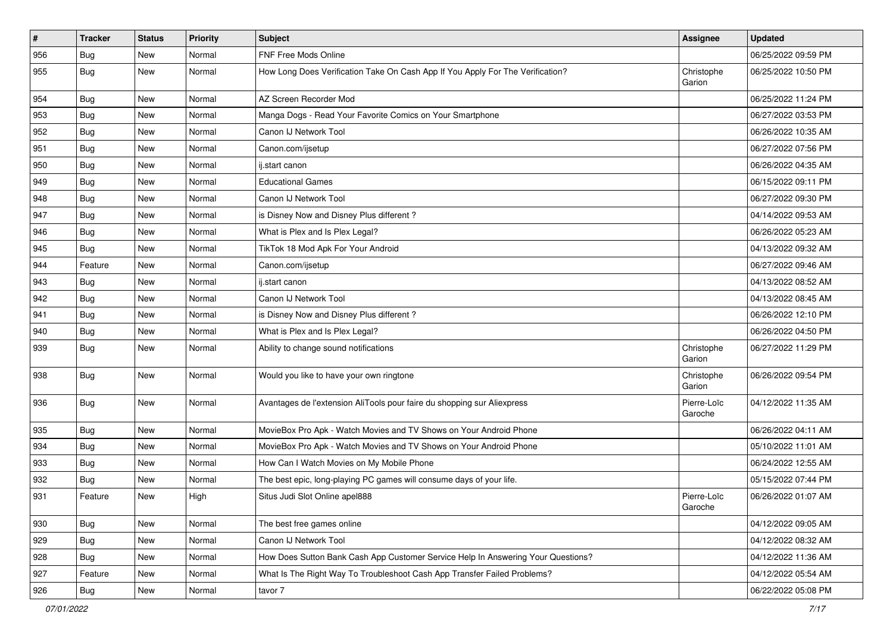| #   | <b>Tracker</b> | <b>Status</b> | <b>Priority</b> | Subject                                                                          | <b>Assignee</b>        | <b>Updated</b>      |
|-----|----------------|---------------|-----------------|----------------------------------------------------------------------------------|------------------------|---------------------|
| 956 | Bug            | New           | Normal          | <b>FNF Free Mods Online</b>                                                      |                        | 06/25/2022 09:59 PM |
| 955 | Bug            | New           | Normal          | How Long Does Verification Take On Cash App If You Apply For The Verification?   | Christophe<br>Garion   | 06/25/2022 10:50 PM |
| 954 | Bug            | New           | Normal          | AZ Screen Recorder Mod                                                           |                        | 06/25/2022 11:24 PM |
| 953 | Bug            | New           | Normal          | Manga Dogs - Read Your Favorite Comics on Your Smartphone                        |                        | 06/27/2022 03:53 PM |
| 952 | Bug            | New           | Normal          | Canon IJ Network Tool                                                            |                        | 06/26/2022 10:35 AM |
| 951 | Bug            | New           | Normal          | Canon.com/ijsetup                                                                |                        | 06/27/2022 07:56 PM |
| 950 | Bug            | New           | Normal          | ij.start canon                                                                   |                        | 06/26/2022 04:35 AM |
| 949 | <b>Bug</b>     | New           | Normal          | <b>Educational Games</b>                                                         |                        | 06/15/2022 09:11 PM |
| 948 | <b>Bug</b>     | New           | Normal          | Canon IJ Network Tool                                                            |                        | 06/27/2022 09:30 PM |
| 947 | <b>Bug</b>     | New           | Normal          | is Disney Now and Disney Plus different?                                         |                        | 04/14/2022 09:53 AM |
| 946 | <b>Bug</b>     | New           | Normal          | What is Plex and Is Plex Legal?                                                  |                        | 06/26/2022 05:23 AM |
| 945 | <b>Bug</b>     | New           | Normal          | TikTok 18 Mod Apk For Your Android                                               |                        | 04/13/2022 09:32 AM |
| 944 | Feature        | New           | Normal          | Canon.com/ijsetup                                                                |                        | 06/27/2022 09:46 AM |
| 943 | Bug            | New           | Normal          | ij.start canon                                                                   |                        | 04/13/2022 08:52 AM |
| 942 | <b>Bug</b>     | <b>New</b>    | Normal          | Canon IJ Network Tool                                                            |                        | 04/13/2022 08:45 AM |
| 941 | Bug            | New           | Normal          | is Disney Now and Disney Plus different?                                         |                        | 06/26/2022 12:10 PM |
| 940 | Bug            | New           | Normal          | What is Plex and Is Plex Legal?                                                  |                        | 06/26/2022 04:50 PM |
| 939 | Bug            | New           | Normal          | Ability to change sound notifications                                            | Christophe<br>Garion   | 06/27/2022 11:29 PM |
| 938 | Bug            | New           | Normal          | Would you like to have your own ringtone                                         | Christophe<br>Garion   | 06/26/2022 09:54 PM |
| 936 | Bug            | <b>New</b>    | Normal          | Avantages de l'extension AliTools pour faire du shopping sur Aliexpress          | Pierre-Loïc<br>Garoche | 04/12/2022 11:35 AM |
| 935 | <b>Bug</b>     | New           | Normal          | MovieBox Pro Apk - Watch Movies and TV Shows on Your Android Phone               |                        | 06/26/2022 04:11 AM |
| 934 | Bug            | New           | Normal          | MovieBox Pro Apk - Watch Movies and TV Shows on Your Android Phone               |                        | 05/10/2022 11:01 AM |
| 933 | <b>Bug</b>     | New           | Normal          | How Can I Watch Movies on My Mobile Phone                                        |                        | 06/24/2022 12:55 AM |
| 932 | Bug            | New           | Normal          | The best epic, long-playing PC games will consume days of your life.             |                        | 05/15/2022 07:44 PM |
| 931 | Feature        | <b>New</b>    | High            | Situs Judi Slot Online apel888                                                   | Pierre-Loïc<br>Garoche | 06/26/2022 01:07 AM |
| 930 | Bug            | <b>New</b>    | Normal          | The best free games online                                                       |                        | 04/12/2022 09:05 AM |
| 929 | Bug            | <b>New</b>    | Normal          | Canon IJ Network Tool                                                            |                        | 04/12/2022 08:32 AM |
| 928 | Bug            | New           | Normal          | How Does Sutton Bank Cash App Customer Service Help In Answering Your Questions? |                        | 04/12/2022 11:36 AM |
| 927 | Feature        | New           | Normal          | What Is The Right Way To Troubleshoot Cash App Transfer Failed Problems?         |                        | 04/12/2022 05:54 AM |
| 926 | <b>Bug</b>     | New           | Normal          | tavor 7                                                                          |                        | 06/22/2022 05:08 PM |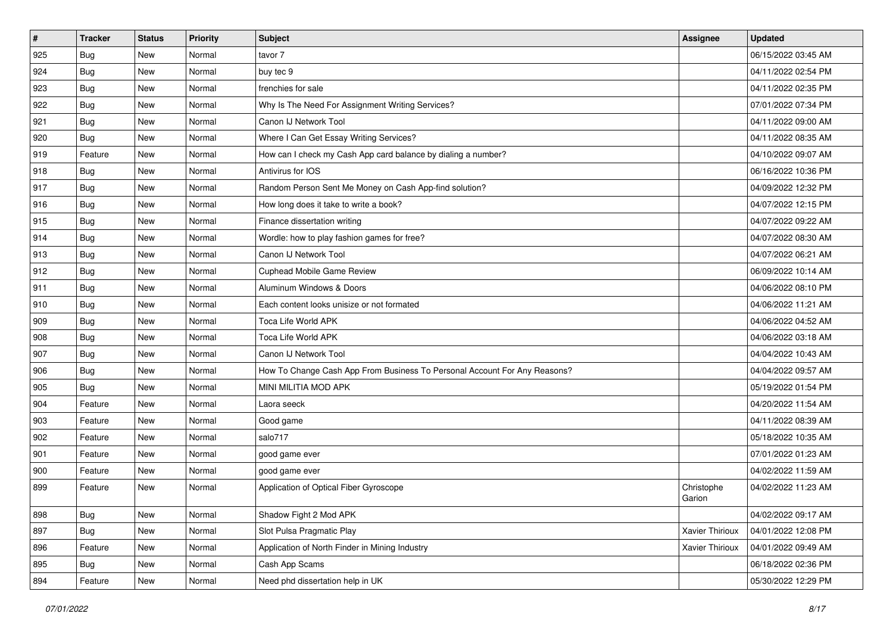| $\sharp$ | <b>Tracker</b> | <b>Status</b> | Priority | Subject                                                                   | <b>Assignee</b>      | <b>Updated</b>      |
|----------|----------------|---------------|----------|---------------------------------------------------------------------------|----------------------|---------------------|
| 925      | Bug            | New           | Normal   | tavor 7                                                                   |                      | 06/15/2022 03:45 AM |
| 924      | Bug            | New           | Normal   | buy tec 9                                                                 |                      | 04/11/2022 02:54 PM |
| 923      | <b>Bug</b>     | New           | Normal   | frenchies for sale                                                        |                      | 04/11/2022 02:35 PM |
| 922      | <b>Bug</b>     | New           | Normal   | Why Is The Need For Assignment Writing Services?                          |                      | 07/01/2022 07:34 PM |
| 921      | <b>Bug</b>     | New           | Normal   | Canon IJ Network Tool                                                     |                      | 04/11/2022 09:00 AM |
| 920      | <b>Bug</b>     | New           | Normal   | Where I Can Get Essay Writing Services?                                   |                      | 04/11/2022 08:35 AM |
| 919      | Feature        | New           | Normal   | How can I check my Cash App card balance by dialing a number?             |                      | 04/10/2022 09:07 AM |
| 918      | <b>Bug</b>     | New           | Normal   | Antivirus for IOS                                                         |                      | 06/16/2022 10:36 PM |
| 917      | <b>Bug</b>     | New           | Normal   | Random Person Sent Me Money on Cash App-find solution?                    |                      | 04/09/2022 12:32 PM |
| 916      | Bug            | New           | Normal   | How long does it take to write a book?                                    |                      | 04/07/2022 12:15 PM |
| 915      | <b>Bug</b>     | New           | Normal   | Finance dissertation writing                                              |                      | 04/07/2022 09:22 AM |
| 914      | Bug            | New           | Normal   | Wordle: how to play fashion games for free?                               |                      | 04/07/2022 08:30 AM |
| 913      | <b>Bug</b>     | New           | Normal   | Canon IJ Network Tool                                                     |                      | 04/07/2022 06:21 AM |
| 912      | <b>Bug</b>     | New           | Normal   | Cuphead Mobile Game Review                                                |                      | 06/09/2022 10:14 AM |
| 911      | <b>Bug</b>     | New           | Normal   | Aluminum Windows & Doors                                                  |                      | 04/06/2022 08:10 PM |
| 910      | <b>Bug</b>     | New           | Normal   | Each content looks unisize or not formated                                |                      | 04/06/2022 11:21 AM |
| 909      | <b>Bug</b>     | New           | Normal   | Toca Life World APK                                                       |                      | 04/06/2022 04:52 AM |
| 908      | Bug            | New           | Normal   | Toca Life World APK                                                       |                      | 04/06/2022 03:18 AM |
| 907      | Bug            | New           | Normal   | Canon IJ Network Tool                                                     |                      | 04/04/2022 10:43 AM |
| 906      | <b>Bug</b>     | New           | Normal   | How To Change Cash App From Business To Personal Account For Any Reasons? |                      | 04/04/2022 09:57 AM |
| 905      | <b>Bug</b>     | New           | Normal   | MINI MILITIA MOD APK                                                      |                      | 05/19/2022 01:54 PM |
| 904      | Feature        | New           | Normal   | Laora seeck                                                               |                      | 04/20/2022 11:54 AM |
| 903      | Feature        | New           | Normal   | Good game                                                                 |                      | 04/11/2022 08:39 AM |
| 902      | Feature        | New           | Normal   | salo717                                                                   |                      | 05/18/2022 10:35 AM |
| 901      | Feature        | New           | Normal   | good game ever                                                            |                      | 07/01/2022 01:23 AM |
| 900      | Feature        | New           | Normal   | good game ever                                                            |                      | 04/02/2022 11:59 AM |
| 899      | Feature        | New           | Normal   | Application of Optical Fiber Gyroscope                                    | Christophe<br>Garion | 04/02/2022 11:23 AM |
| 898      | Bug            | New           | Normal   | Shadow Fight 2 Mod APK                                                    |                      | 04/02/2022 09:17 AM |
| 897      | Bug            | New           | Normal   | Slot Pulsa Pragmatic Play                                                 | Xavier Thirioux      | 04/01/2022 12:08 PM |
| 896      | Feature        | New           | Normal   | Application of North Finder in Mining Industry                            | Xavier Thirioux      | 04/01/2022 09:49 AM |
| 895      | Bug            | New           | Normal   | Cash App Scams                                                            |                      | 06/18/2022 02:36 PM |
| 894      | Feature        | New           | Normal   | Need phd dissertation help in UK                                          |                      | 05/30/2022 12:29 PM |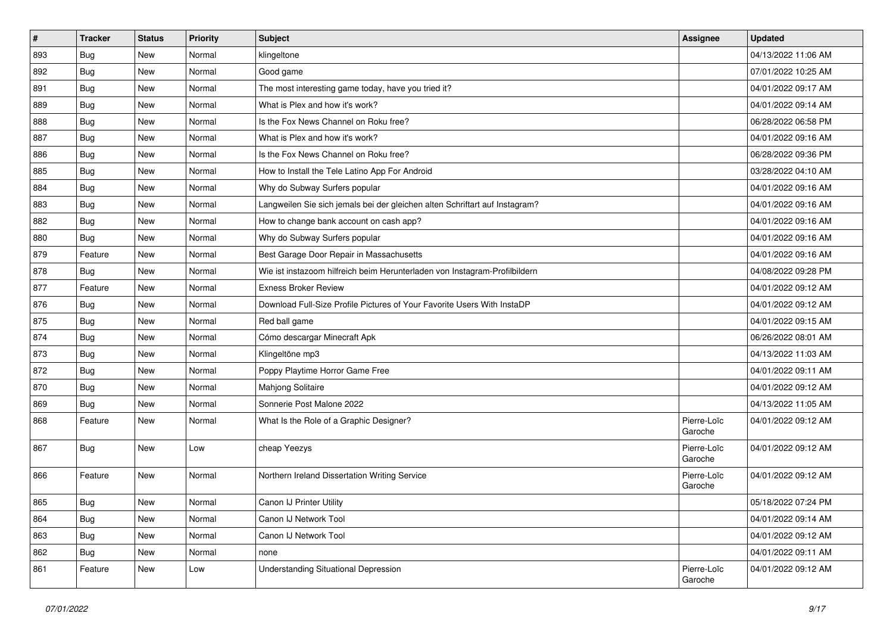| #   | <b>Tracker</b> | <b>Status</b> | <b>Priority</b> | <b>Subject</b>                                                              | Assignee               | <b>Updated</b>      |
|-----|----------------|---------------|-----------------|-----------------------------------------------------------------------------|------------------------|---------------------|
| 893 | <b>Bug</b>     | New           | Normal          | klingeltone                                                                 |                        | 04/13/2022 11:06 AM |
| 892 | Bug            | New           | Normal          | Good game                                                                   |                        | 07/01/2022 10:25 AM |
| 891 | <b>Bug</b>     | New           | Normal          | The most interesting game today, have you tried it?                         |                        | 04/01/2022 09:17 AM |
| 889 | <b>Bug</b>     | New           | Normal          | What is Plex and how it's work?                                             |                        | 04/01/2022 09:14 AM |
| 888 | Bug            | New           | Normal          | Is the Fox News Channel on Roku free?                                       |                        | 06/28/2022 06:58 PM |
| 887 | Bug            | New           | Normal          | What is Plex and how it's work?                                             |                        | 04/01/2022 09:16 AM |
| 886 | <b>Bug</b>     | New           | Normal          | Is the Fox News Channel on Roku free?                                       |                        | 06/28/2022 09:36 PM |
| 885 | Bug            | New           | Normal          | How to Install the Tele Latino App For Android                              |                        | 03/28/2022 04:10 AM |
| 884 | Bug            | New           | Normal          | Why do Subway Surfers popular                                               |                        | 04/01/2022 09:16 AM |
| 883 | Bug            | New           | Normal          | Langweilen Sie sich jemals bei der gleichen alten Schriftart auf Instagram? |                        | 04/01/2022 09:16 AM |
| 882 | <b>Bug</b>     | New           | Normal          | How to change bank account on cash app?                                     |                        | 04/01/2022 09:16 AM |
| 880 | Bug            | New           | Normal          | Why do Subway Surfers popular                                               |                        | 04/01/2022 09:16 AM |
| 879 | Feature        | New           | Normal          | Best Garage Door Repair in Massachusetts                                    |                        | 04/01/2022 09:16 AM |
| 878 | <b>Bug</b>     | New           | Normal          | Wie ist instazoom hilfreich beim Herunterladen von Instagram-Profilbildern  |                        | 04/08/2022 09:28 PM |
| 877 | Feature        | New           | Normal          | <b>Exness Broker Review</b>                                                 |                        | 04/01/2022 09:12 AM |
| 876 | <b>Bug</b>     | New           | Normal          | Download Full-Size Profile Pictures of Your Favorite Users With InstaDP     |                        | 04/01/2022 09:12 AM |
| 875 | <b>Bug</b>     | New           | Normal          | Red ball game                                                               |                        | 04/01/2022 09:15 AM |
| 874 | Bug            | New           | Normal          | Cómo descargar Minecraft Apk                                                |                        | 06/26/2022 08:01 AM |
| 873 | <b>Bug</b>     | New           | Normal          | Klingeltöne mp3                                                             |                        | 04/13/2022 11:03 AM |
| 872 | <b>Bug</b>     | New           | Normal          | Poppy Playtime Horror Game Free                                             |                        | 04/01/2022 09:11 AM |
| 870 | Bug            | New           | Normal          | Mahjong Solitaire                                                           |                        | 04/01/2022 09:12 AM |
| 869 | Bug            | New           | Normal          | Sonnerie Post Malone 2022                                                   |                        | 04/13/2022 11:05 AM |
| 868 | Feature        | New           | Normal          | What Is the Role of a Graphic Designer?                                     | Pierre-Loïc<br>Garoche | 04/01/2022 09:12 AM |
| 867 | Bug            | New           | Low             | cheap Yeezys                                                                | Pierre-Loïc<br>Garoche | 04/01/2022 09:12 AM |
| 866 | Feature        | New           | Normal          | Northern Ireland Dissertation Writing Service                               | Pierre-Loïc<br>Garoche | 04/01/2022 09:12 AM |
| 865 | Bug            | New           | Normal          | Canon IJ Printer Utility                                                    |                        | 05/18/2022 07:24 PM |
| 864 | Bug            | New           | Normal          | Canon IJ Network Tool                                                       |                        | 04/01/2022 09:14 AM |
| 863 | Bug            | New           | Normal          | Canon IJ Network Tool                                                       |                        | 04/01/2022 09:12 AM |
| 862 | Bug            | New           | Normal          | none                                                                        |                        | 04/01/2022 09:11 AM |
| 861 | Feature        | New           | Low             | <b>Understanding Situational Depression</b>                                 | Pierre-Loïc<br>Garoche | 04/01/2022 09:12 AM |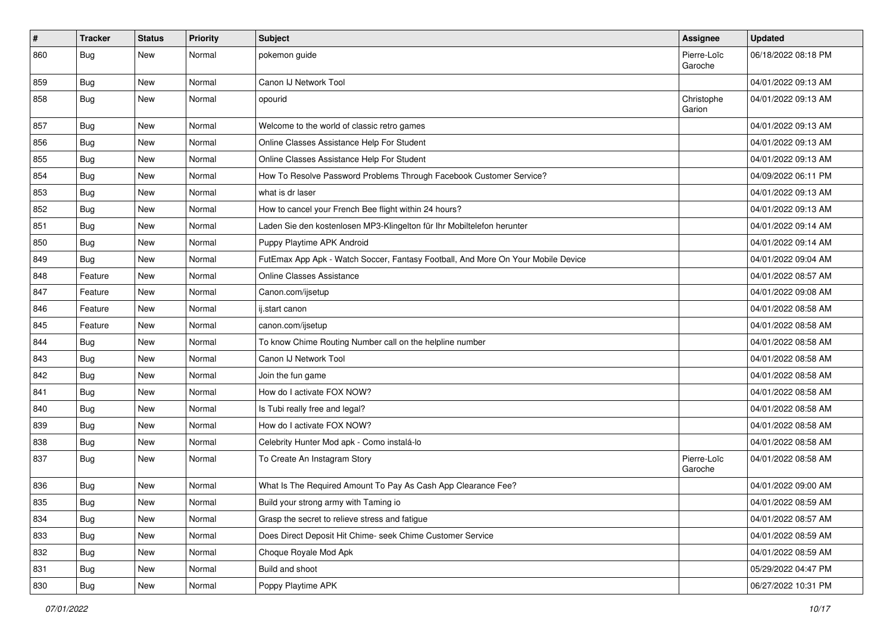| $\vert$ # | <b>Tracker</b> | <b>Status</b> | <b>Priority</b> | <b>Subject</b>                                                                   | <b>Assignee</b>        | <b>Updated</b>      |
|-----------|----------------|---------------|-----------------|----------------------------------------------------------------------------------|------------------------|---------------------|
| 860       | <b>Bug</b>     | New           | Normal          | pokemon guide                                                                    | Pierre-Loïc<br>Garoche | 06/18/2022 08:18 PM |
| 859       | Bug            | New           | Normal          | Canon IJ Network Tool                                                            |                        | 04/01/2022 09:13 AM |
| 858       | <b>Bug</b>     | New           | Normal          | opourid                                                                          | Christophe<br>Garion   | 04/01/2022 09:13 AM |
| 857       | Bug            | New           | Normal          | Welcome to the world of classic retro games                                      |                        | 04/01/2022 09:13 AM |
| 856       | Bug            | New           | Normal          | Online Classes Assistance Help For Student                                       |                        | 04/01/2022 09:13 AM |
| 855       | Bug            | New           | Normal          | Online Classes Assistance Help For Student                                       |                        | 04/01/2022 09:13 AM |
| 854       | Bug            | New           | Normal          | How To Resolve Password Problems Through Facebook Customer Service?              |                        | 04/09/2022 06:11 PM |
| 853       | Bug            | New           | Normal          | what is dr laser                                                                 |                        | 04/01/2022 09:13 AM |
| 852       | <b>Bug</b>     | New           | Normal          | How to cancel your French Bee flight within 24 hours?                            |                        | 04/01/2022 09:13 AM |
| 851       | <b>Bug</b>     | New           | Normal          | Laden Sie den kostenlosen MP3-Klingelton für Ihr Mobiltelefon herunter           |                        | 04/01/2022 09:14 AM |
| 850       | Bug            | New           | Normal          | Puppy Playtime APK Android                                                       |                        | 04/01/2022 09:14 AM |
| 849       | <b>Bug</b>     | New           | Normal          | FutEmax App Apk - Watch Soccer, Fantasy Football, And More On Your Mobile Device |                        | 04/01/2022 09:04 AM |
| 848       | Feature        | New           | Normal          | <b>Online Classes Assistance</b>                                                 |                        | 04/01/2022 08:57 AM |
| 847       | Feature        | New           | Normal          | Canon.com/ijsetup                                                                |                        | 04/01/2022 09:08 AM |
| 846       | Feature        | New           | Normal          | ij.start canon                                                                   |                        | 04/01/2022 08:58 AM |
| 845       | Feature        | New           | Normal          | canon.com/ijsetup                                                                |                        | 04/01/2022 08:58 AM |
| 844       | <b>Bug</b>     | New           | Normal          | To know Chime Routing Number call on the helpline number                         |                        | 04/01/2022 08:58 AM |
| 843       | Bug            | New           | Normal          | Canon IJ Network Tool                                                            |                        | 04/01/2022 08:58 AM |
| 842       | Bug            | New           | Normal          | Join the fun game                                                                |                        | 04/01/2022 08:58 AM |
| 841       | <b>Bug</b>     | New           | Normal          | How do I activate FOX NOW?                                                       |                        | 04/01/2022 08:58 AM |
| 840       | Bug            | New           | Normal          | Is Tubi really free and legal?                                                   |                        | 04/01/2022 08:58 AM |
| 839       | <b>Bug</b>     | New           | Normal          | How do I activate FOX NOW?                                                       |                        | 04/01/2022 08:58 AM |
| 838       | <b>Bug</b>     | New           | Normal          | Celebrity Hunter Mod apk - Como instalá-lo                                       |                        | 04/01/2022 08:58 AM |
| 837       | <b>Bug</b>     | New           | Normal          | To Create An Instagram Story                                                     | Pierre-Loïc<br>Garoche | 04/01/2022 08:58 AM |
| 836       | <b>Bug</b>     | New           | Normal          | What Is The Required Amount To Pay As Cash App Clearance Fee?                    |                        | 04/01/2022 09:00 AM |
| 835       | Bug            | New           | Normal          | Build your strong army with Taming io                                            |                        | 04/01/2022 08:59 AM |
| 834       | Bug            | New           | Normal          | Grasp the secret to relieve stress and fatigue                                   |                        | 04/01/2022 08:57 AM |
| 833       | Bug            | New           | Normal          | Does Direct Deposit Hit Chime- seek Chime Customer Service                       |                        | 04/01/2022 08:59 AM |
| 832       | <b>Bug</b>     | New           | Normal          | Choque Royale Mod Apk                                                            |                        | 04/01/2022 08:59 AM |
| 831       | Bug            | New           | Normal          | Build and shoot                                                                  |                        | 05/29/2022 04:47 PM |
| 830       | <b>Bug</b>     | New           | Normal          | Poppy Playtime APK                                                               |                        | 06/27/2022 10:31 PM |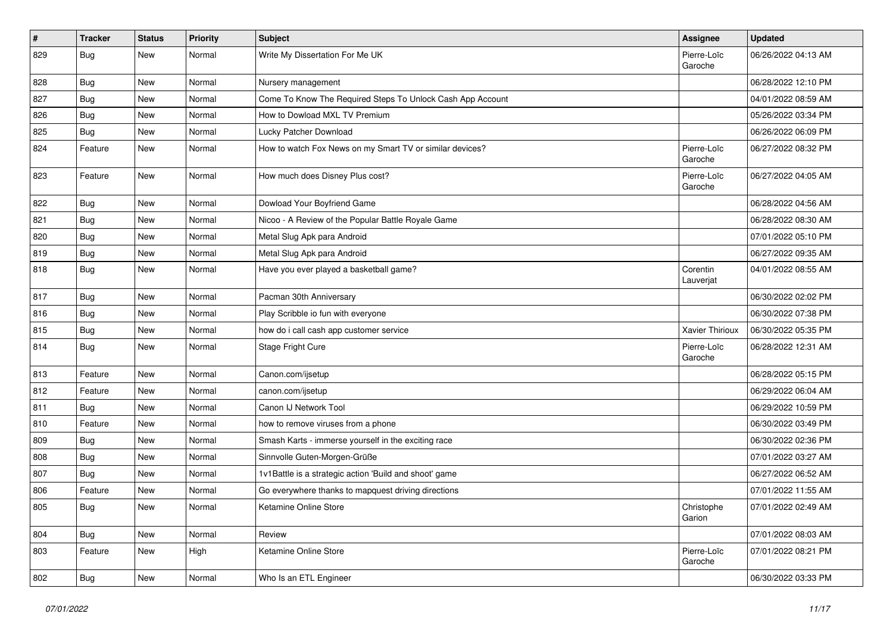| $\vert$ # | <b>Tracker</b> | <b>Status</b> | <b>Priority</b> | <b>Subject</b>                                             | Assignee               | <b>Updated</b>      |
|-----------|----------------|---------------|-----------------|------------------------------------------------------------|------------------------|---------------------|
| 829       | <b>Bug</b>     | New           | Normal          | Write My Dissertation For Me UK                            | Pierre-Loïc<br>Garoche | 06/26/2022 04:13 AM |
| 828       | <b>Bug</b>     | New           | Normal          | Nursery management                                         |                        | 06/28/2022 12:10 PM |
| 827       | <b>Bug</b>     | New           | Normal          | Come To Know The Required Steps To Unlock Cash App Account |                        | 04/01/2022 08:59 AM |
| 826       | Bug            | New           | Normal          | How to Dowload MXL TV Premium                              |                        | 05/26/2022 03:34 PM |
| 825       | <b>Bug</b>     | New           | Normal          | Lucky Patcher Download                                     |                        | 06/26/2022 06:09 PM |
| 824       | Feature        | New           | Normal          | How to watch Fox News on my Smart TV or similar devices?   | Pierre-Loïc<br>Garoche | 06/27/2022 08:32 PM |
| 823       | Feature        | New           | Normal          | How much does Disney Plus cost?                            | Pierre-Loïc<br>Garoche | 06/27/2022 04:05 AM |
| 822       | <b>Bug</b>     | New           | Normal          | Dowload Your Boyfriend Game                                |                        | 06/28/2022 04:56 AM |
| 821       | <b>Bug</b>     | New           | Normal          | Nicoo - A Review of the Popular Battle Royale Game         |                        | 06/28/2022 08:30 AM |
| 820       | <b>Bug</b>     | New           | Normal          | Metal Slug Apk para Android                                |                        | 07/01/2022 05:10 PM |
| 819       | <b>Bug</b>     | New           | Normal          | Metal Slug Apk para Android                                |                        | 06/27/2022 09:35 AM |
| 818       | <b>Bug</b>     | New           | Normal          | Have you ever played a basketball game?                    | Corentin<br>Lauverjat  | 04/01/2022 08:55 AM |
| 817       | Bug            | New           | Normal          | Pacman 30th Anniversary                                    |                        | 06/30/2022 02:02 PM |
| 816       | Bug            | New           | Normal          | Play Scribble io fun with everyone                         |                        | 06/30/2022 07:38 PM |
| 815       | Bug            | New           | Normal          | how do i call cash app customer service                    | Xavier Thirioux        | 06/30/2022 05:35 PM |
| 814       | <b>Bug</b>     | New           | Normal          | Stage Fright Cure                                          | Pierre-Loïc<br>Garoche | 06/28/2022 12:31 AM |
| 813       | Feature        | New           | Normal          | Canon.com/ijsetup                                          |                        | 06/28/2022 05:15 PM |
| 812       | Feature        | New           | Normal          | canon.com/ijsetup                                          |                        | 06/29/2022 06:04 AM |
| 811       | <b>Bug</b>     | New           | Normal          | Canon IJ Network Tool                                      |                        | 06/29/2022 10:59 PM |
| 810       | Feature        | New           | Normal          | how to remove viruses from a phone                         |                        | 06/30/2022 03:49 PM |
| 809       | <b>Bug</b>     | New           | Normal          | Smash Karts - immerse yourself in the exciting race        |                        | 06/30/2022 02:36 PM |
| 808       | <b>Bug</b>     | New           | Normal          | Sinnvolle Guten-Morgen-Grüße                               |                        | 07/01/2022 03:27 AM |
| 807       | <b>Bug</b>     | New           | Normal          | 1v1Battle is a strategic action 'Build and shoot' game     |                        | 06/27/2022 06:52 AM |
| 806       | Feature        | New           | Normal          | Go everywhere thanks to mapquest driving directions        |                        | 07/01/2022 11:55 AM |
| 805       | Bug            | New           | Normal          | Ketamine Online Store                                      | Christophe<br>Garion   | 07/01/2022 02:49 AM |
| 804       | <b>Bug</b>     | New           | Normal          | Review                                                     |                        | 07/01/2022 08:03 AM |
| 803       | Feature        | New           | High            | Ketamine Online Store                                      | Pierre-Loïc<br>Garoche | 07/01/2022 08:21 PM |
| 802       | <b>Bug</b>     | New           | Normal          | Who Is an ETL Engineer                                     |                        | 06/30/2022 03:33 PM |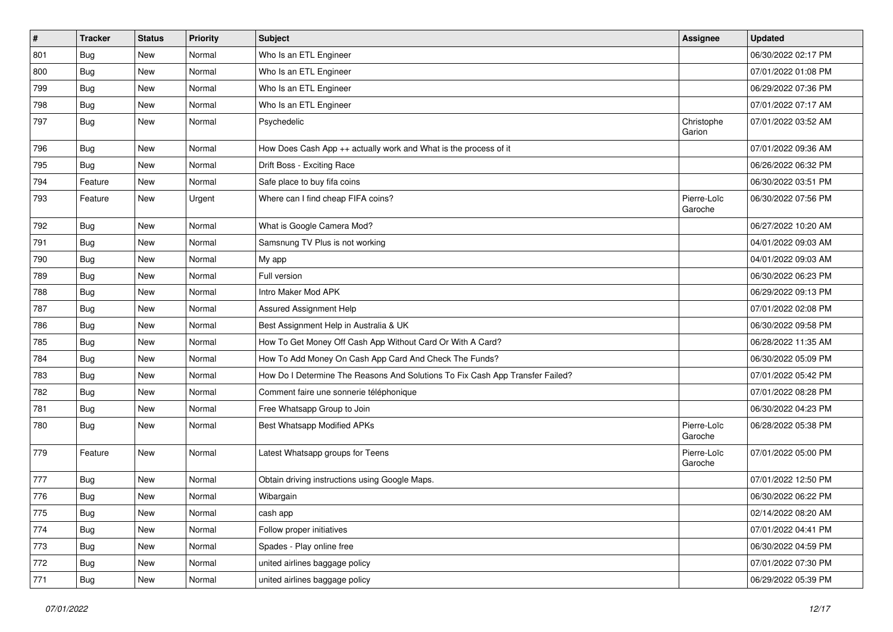| $\pmb{\#}$ | <b>Tracker</b> | <b>Status</b> | <b>Priority</b> | <b>Subject</b>                                                                | <b>Assignee</b>        | <b>Updated</b>      |
|------------|----------------|---------------|-----------------|-------------------------------------------------------------------------------|------------------------|---------------------|
| 801        | <b>Bug</b>     | New           | Normal          | Who Is an ETL Engineer                                                        |                        | 06/30/2022 02:17 PM |
| 800        | <b>Bug</b>     | <b>New</b>    | Normal          | Who Is an ETL Engineer                                                        |                        | 07/01/2022 01:08 PM |
| 799        | Bug            | New           | Normal          | Who Is an ETL Engineer                                                        |                        | 06/29/2022 07:36 PM |
| 798        | Bug            | New           | Normal          | Who Is an ETL Engineer                                                        |                        | 07/01/2022 07:17 AM |
| 797        | Bug            | <b>New</b>    | Normal          | Psychedelic                                                                   | Christophe<br>Garion   | 07/01/2022 03:52 AM |
| 796        | Bug            | <b>New</b>    | Normal          | How Does Cash App ++ actually work and What is the process of it              |                        | 07/01/2022 09:36 AM |
| 795        | Bug            | <b>New</b>    | Normal          | Drift Boss - Exciting Race                                                    |                        | 06/26/2022 06:32 PM |
| 794        | Feature        | <b>New</b>    | Normal          | Safe place to buy fifa coins                                                  |                        | 06/30/2022 03:51 PM |
| 793        | Feature        | New           | Urgent          | Where can I find cheap FIFA coins?                                            | Pierre-Loïc<br>Garoche | 06/30/2022 07:56 PM |
| 792        | Bug            | <b>New</b>    | Normal          | What is Google Camera Mod?                                                    |                        | 06/27/2022 10:20 AM |
| 791        | <b>Bug</b>     | <b>New</b>    | Normal          | Samsnung TV Plus is not working                                               |                        | 04/01/2022 09:03 AM |
| 790        | <b>Bug</b>     | New           | Normal          | My app                                                                        |                        | 04/01/2022 09:03 AM |
| 789        | Bug            | New           | Normal          | Full version                                                                  |                        | 06/30/2022 06:23 PM |
| 788        | Bug            | New           | Normal          | Intro Maker Mod APK                                                           |                        | 06/29/2022 09:13 PM |
| 787        | <b>Bug</b>     | New           | Normal          | Assured Assignment Help                                                       |                        | 07/01/2022 02:08 PM |
| 786        | <b>Bug</b>     | <b>New</b>    | Normal          | Best Assignment Help in Australia & UK                                        |                        | 06/30/2022 09:58 PM |
| 785        | <b>Bug</b>     | New           | Normal          | How To Get Money Off Cash App Without Card Or With A Card?                    |                        | 06/28/2022 11:35 AM |
| 784        | Bug            | New           | Normal          | How To Add Money On Cash App Card And Check The Funds?                        |                        | 06/30/2022 05:09 PM |
| 783        | <b>Bug</b>     | <b>New</b>    | Normal          | How Do I Determine The Reasons And Solutions To Fix Cash App Transfer Failed? |                        | 07/01/2022 05:42 PM |
| 782        | <b>Bug</b>     | <b>New</b>    | Normal          | Comment faire une sonnerie téléphonique                                       |                        | 07/01/2022 08:28 PM |
| 781        | <b>Bug</b>     | New           | Normal          | Free Whatsapp Group to Join                                                   |                        | 06/30/2022 04:23 PM |
| 780        | Bug            | New           | Normal          | Best Whatsapp Modified APKs                                                   | Pierre-Loïc<br>Garoche | 06/28/2022 05:38 PM |
| 779        | Feature        | <b>New</b>    | Normal          | Latest Whatsapp groups for Teens                                              | Pierre-Loïc<br>Garoche | 07/01/2022 05:00 PM |
| 777        | Bug            | New           | Normal          | Obtain driving instructions using Google Maps.                                |                        | 07/01/2022 12:50 PM |
| 776        | <b>Bug</b>     | <b>New</b>    | Normal          | Wibargain                                                                     |                        | 06/30/2022 06:22 PM |
| 775        | Bug            | New           | Normal          | cash app                                                                      |                        | 02/14/2022 08:20 AM |
| 774        | Bug            | <b>New</b>    | Normal          | Follow proper initiatives                                                     |                        | 07/01/2022 04:41 PM |
| 773        | Bug            | New           | Normal          | Spades - Play online free                                                     |                        | 06/30/2022 04:59 PM |
| 772        | Bug            | New           | Normal          | united airlines baggage policy                                                |                        | 07/01/2022 07:30 PM |
| 771        | <b>Bug</b>     | New           | Normal          | united airlines baggage policy                                                |                        | 06/29/2022 05:39 PM |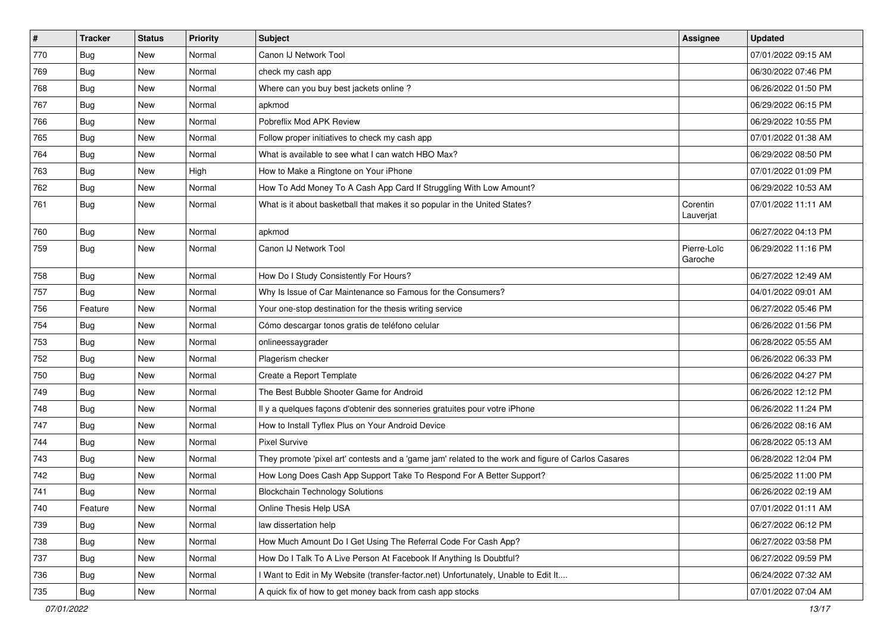| $\vert$ # | <b>Tracker</b> | <b>Status</b> | <b>Priority</b> | <b>Subject</b>                                                                                      | <b>Assignee</b>        | <b>Updated</b>      |
|-----------|----------------|---------------|-----------------|-----------------------------------------------------------------------------------------------------|------------------------|---------------------|
| 770       | <b>Bug</b>     | New           | Normal          | Canon IJ Network Tool                                                                               |                        | 07/01/2022 09:15 AM |
| 769       | Bug            | New           | Normal          | check my cash app                                                                                   |                        | 06/30/2022 07:46 PM |
| 768       | Bug            | New           | Normal          | Where can you buy best jackets online?                                                              |                        | 06/26/2022 01:50 PM |
| 767       | <b>Bug</b>     | New           | Normal          | apkmod                                                                                              |                        | 06/29/2022 06:15 PM |
| 766       | Bug            | New           | Normal          | Pobreflix Mod APK Review                                                                            |                        | 06/29/2022 10:55 PM |
| 765       | <b>Bug</b>     | New           | Normal          | Follow proper initiatives to check my cash app                                                      |                        | 07/01/2022 01:38 AM |
| 764       | Bug            | New           | Normal          | What is available to see what I can watch HBO Max?                                                  |                        | 06/29/2022 08:50 PM |
| 763       | Bug            | New           | High            | How to Make a Ringtone on Your iPhone                                                               |                        | 07/01/2022 01:09 PM |
| 762       | <b>Bug</b>     | New           | Normal          | How To Add Money To A Cash App Card If Struggling With Low Amount?                                  |                        | 06/29/2022 10:53 AM |
| 761       | <b>Bug</b>     | New           | Normal          | What is it about basketball that makes it so popular in the United States?                          | Corentin<br>Lauverjat  | 07/01/2022 11:11 AM |
| 760       | <b>Bug</b>     | <b>New</b>    | Normal          | apkmod                                                                                              |                        | 06/27/2022 04:13 PM |
| 759       | <b>Bug</b>     | New           | Normal          | Canon IJ Network Tool                                                                               | Pierre-Loïc<br>Garoche | 06/29/2022 11:16 PM |
| 758       | Bug            | New           | Normal          | How Do I Study Consistently For Hours?                                                              |                        | 06/27/2022 12:49 AM |
| 757       | Bug            | New           | Normal          | Why Is Issue of Car Maintenance so Famous for the Consumers?                                        |                        | 04/01/2022 09:01 AM |
| 756       | Feature        | New           | Normal          | Your one-stop destination for the thesis writing service                                            |                        | 06/27/2022 05:46 PM |
| 754       | Bug            | New           | Normal          | Cómo descargar tonos gratis de teléfono celular                                                     |                        | 06/26/2022 01:56 PM |
| 753       | <b>Bug</b>     | New           | Normal          | onlineessaygrader                                                                                   |                        | 06/28/2022 05:55 AM |
| 752       | <b>Bug</b>     | New           | Normal          | Plagerism checker                                                                                   |                        | 06/26/2022 06:33 PM |
| 750       | Bug            | New           | Normal          | Create a Report Template                                                                            |                        | 06/26/2022 04:27 PM |
| 749       | Bug            | New           | Normal          | The Best Bubble Shooter Game for Android                                                            |                        | 06/26/2022 12:12 PM |
| 748       | Bug            | <b>New</b>    | Normal          | Il y a quelques façons d'obtenir des sonneries gratuites pour votre iPhone                          |                        | 06/26/2022 11:24 PM |
| 747       | <b>Bug</b>     | New           | Normal          | How to Install Tyflex Plus on Your Android Device                                                   |                        | 06/26/2022 08:16 AM |
| 744       | <b>Bug</b>     | New           | Normal          | <b>Pixel Survive</b>                                                                                |                        | 06/28/2022 05:13 AM |
| 743       | Bug            | New           | Normal          | They promote 'pixel art' contests and a 'game jam' related to the work and figure of Carlos Casares |                        | 06/28/2022 12:04 PM |
| 742       | <b>Bug</b>     | New           | Normal          | How Long Does Cash App Support Take To Respond For A Better Support?                                |                        | 06/25/2022 11:00 PM |
| 741       | <b>Bug</b>     | New           | Normal          | <b>Blockchain Technology Solutions</b>                                                              |                        | 06/26/2022 02:19 AM |
| 740       | Feature        | New           | Normal          | Online Thesis Help USA                                                                              |                        | 07/01/2022 01:11 AM |
| 739       | Bug            | New           | Normal          | law dissertation help                                                                               |                        | 06/27/2022 06:12 PM |
| 738       | Bug            | New           | Normal          | How Much Amount Do I Get Using The Referral Code For Cash App?                                      |                        | 06/27/2022 03:58 PM |
| 737       | <b>Bug</b>     | New           | Normal          | How Do I Talk To A Live Person At Facebook If Anything Is Doubtful?                                 |                        | 06/27/2022 09:59 PM |
| 736       | <b>Bug</b>     | New           | Normal          | I Want to Edit in My Website (transfer-factor.net) Unfortunately, Unable to Edit It                 |                        | 06/24/2022 07:32 AM |
| 735       | <b>Bug</b>     | New           | Normal          | A quick fix of how to get money back from cash app stocks                                           |                        | 07/01/2022 07:04 AM |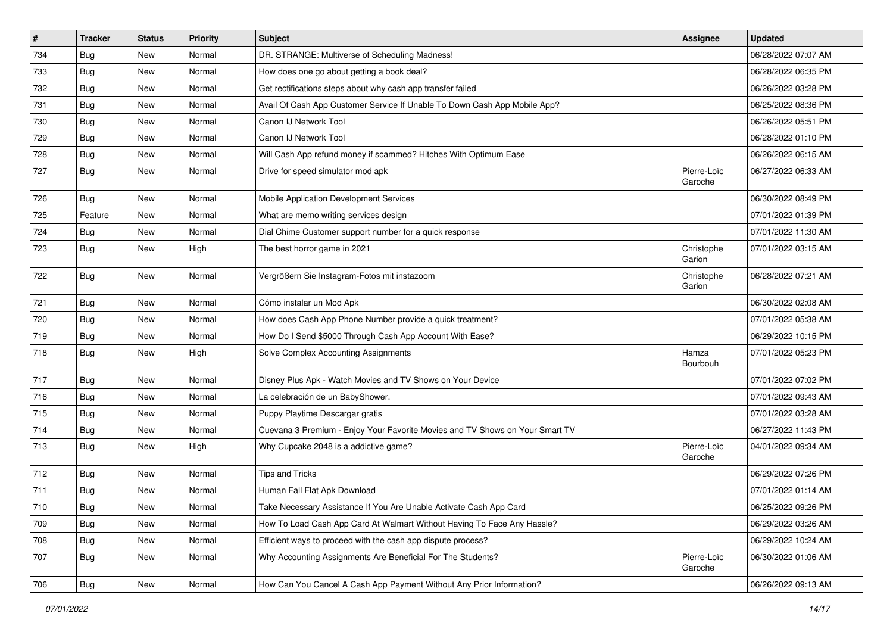| $\sharp$ | <b>Tracker</b> | <b>Status</b> | <b>Priority</b> | Subject                                                                      | <b>Assignee</b>        | <b>Updated</b>      |
|----------|----------------|---------------|-----------------|------------------------------------------------------------------------------|------------------------|---------------------|
| 734      | <b>Bug</b>     | New           | Normal          | DR. STRANGE: Multiverse of Scheduling Madness!                               |                        | 06/28/2022 07:07 AM |
| 733      | <b>Bug</b>     | <b>New</b>    | Normal          | How does one go about getting a book deal?                                   |                        | 06/28/2022 06:35 PM |
| 732      | Bug            | New           | Normal          | Get rectifications steps about why cash app transfer failed                  |                        | 06/26/2022 03:28 PM |
| 731      | Bug            | New           | Normal          | Avail Of Cash App Customer Service If Unable To Down Cash App Mobile App?    |                        | 06/25/2022 08:36 PM |
| 730      | Bug            | <b>New</b>    | Normal          | Canon IJ Network Tool                                                        |                        | 06/26/2022 05:51 PM |
| 729      | Bug            | New           | Normal          | Canon IJ Network Tool                                                        |                        | 06/28/2022 01:10 PM |
| 728      | Bug            | <b>New</b>    | Normal          | Will Cash App refund money if scammed? Hitches With Optimum Ease             |                        | 06/26/2022 06:15 AM |
| 727      | Bug            | New           | Normal          | Drive for speed simulator mod apk                                            | Pierre-Loïc<br>Garoche | 06/27/2022 06:33 AM |
| 726      | <b>Bug</b>     | <b>New</b>    | Normal          | Mobile Application Development Services                                      |                        | 06/30/2022 08:49 PM |
| 725      | Feature        | New           | Normal          | What are memo writing services design                                        |                        | 07/01/2022 01:39 PM |
| 724      | Bug            | New           | Normal          | Dial Chime Customer support number for a quick response                      |                        | 07/01/2022 11:30 AM |
| 723      | Bug            | <b>New</b>    | High            | The best horror game in 2021                                                 | Christophe<br>Garion   | 07/01/2022 03:15 AM |
| 722      | Bug            | New           | Normal          | Vergrößern Sie Instagram-Fotos mit instazoom                                 | Christophe<br>Garion   | 06/28/2022 07:21 AM |
| 721      | Bug            | <b>New</b>    | Normal          | Cómo instalar un Mod Apk                                                     |                        | 06/30/2022 02:08 AM |
| 720      | Bug            | <b>New</b>    | Normal          | How does Cash App Phone Number provide a quick treatment?                    |                        | 07/01/2022 05:38 AM |
| 719      | Bug            | New           | Normal          | How Do I Send \$5000 Through Cash App Account With Ease?                     |                        | 06/29/2022 10:15 PM |
| 718      | Bug            | New           | High            | Solve Complex Accounting Assignments                                         | Hamza<br>Bourbouh      | 07/01/2022 05:23 PM |
| 717      | Bug            | New           | Normal          | Disney Plus Apk - Watch Movies and TV Shows on Your Device                   |                        | 07/01/2022 07:02 PM |
| 716      | Bug            | <b>New</b>    | Normal          | La celebración de un BabyShower.                                             |                        | 07/01/2022 09:43 AM |
| 715      | Bug            | New           | Normal          | Puppy Playtime Descargar gratis                                              |                        | 07/01/2022 03:28 AM |
| 714      | <b>Bug</b>     | <b>New</b>    | Normal          | Cuevana 3 Premium - Enjoy Your Favorite Movies and TV Shows on Your Smart TV |                        | 06/27/2022 11:43 PM |
| 713      | Bug            | <b>New</b>    | High            | Why Cupcake 2048 is a addictive game?                                        | Pierre-Loïc<br>Garoche | 04/01/2022 09:34 AM |
| 712      | Bug            | New           | Normal          | <b>Tips and Tricks</b>                                                       |                        | 06/29/2022 07:26 PM |
| 711      | <b>Bug</b>     | <b>New</b>    | Normal          | Human Fall Flat Apk Download                                                 |                        | 07/01/2022 01:14 AM |
| 710      | Bug            | New           | Normal          | Take Necessary Assistance If You Are Unable Activate Cash App Card           |                        | 06/25/2022 09:26 PM |
| 709      | Bug            | New           | Normal          | How To Load Cash App Card At Walmart Without Having To Face Any Hassle?      |                        | 06/29/2022 03:26 AM |
| 708      | Bug            | New           | Normal          | Efficient ways to proceed with the cash app dispute process?                 |                        | 06/29/2022 10:24 AM |
| 707      | Bug            | New           | Normal          | Why Accounting Assignments Are Beneficial For The Students?                  | Pierre-Loïc<br>Garoche | 06/30/2022 01:06 AM |
| 706      | Bug            | New           | Normal          | How Can You Cancel A Cash App Payment Without Any Prior Information?         |                        | 06/26/2022 09:13 AM |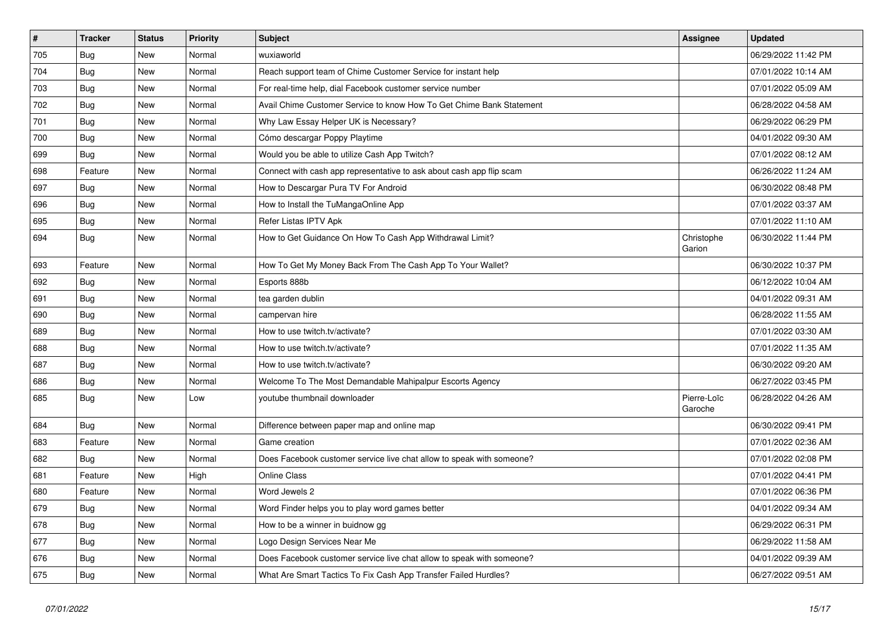| $\vert$ # | <b>Tracker</b> | <b>Status</b> | <b>Priority</b> | <b>Subject</b>                                                        | <b>Assignee</b>        | <b>Updated</b>      |
|-----------|----------------|---------------|-----------------|-----------------------------------------------------------------------|------------------------|---------------------|
| 705       | Bug            | <b>New</b>    | Normal          | wuxiaworld                                                            |                        | 06/29/2022 11:42 PM |
| 704       | Bug            | <b>New</b>    | Normal          | Reach support team of Chime Customer Service for instant help         |                        | 07/01/2022 10:14 AM |
| 703       | Bug            | <b>New</b>    | Normal          | For real-time help, dial Facebook customer service number             |                        | 07/01/2022 05:09 AM |
| 702       | <b>Bug</b>     | <b>New</b>    | Normal          | Avail Chime Customer Service to know How To Get Chime Bank Statement  |                        | 06/28/2022 04:58 AM |
| 701       | <b>Bug</b>     | <b>New</b>    | Normal          | Why Law Essay Helper UK is Necessary?                                 |                        | 06/29/2022 06:29 PM |
| 700       | <b>Bug</b>     | <b>New</b>    | Normal          | Cómo descargar Poppy Playtime                                         |                        | 04/01/2022 09:30 AM |
| 699       | Bug            | <b>New</b>    | Normal          | Would you be able to utilize Cash App Twitch?                         |                        | 07/01/2022 08:12 AM |
| 698       | Feature        | <b>New</b>    | Normal          | Connect with cash app representative to ask about cash app flip scam  |                        | 06/26/2022 11:24 AM |
| 697       | Bug            | <b>New</b>    | Normal          | How to Descargar Pura TV For Android                                  |                        | 06/30/2022 08:48 PM |
| 696       | <b>Bug</b>     | <b>New</b>    | Normal          | How to Install the TuMangaOnline App                                  |                        | 07/01/2022 03:37 AM |
| 695       | Bug            | <b>New</b>    | Normal          | Refer Listas IPTV Apk                                                 |                        | 07/01/2022 11:10 AM |
| 694       | Bug            | <b>New</b>    | Normal          | How to Get Guidance On How To Cash App Withdrawal Limit?              | Christophe<br>Garion   | 06/30/2022 11:44 PM |
| 693       | Feature        | New           | Normal          | How To Get My Money Back From The Cash App To Your Wallet?            |                        | 06/30/2022 10:37 PM |
| 692       | Bug            | New           | Normal          | Esports 888b                                                          |                        | 06/12/2022 10:04 AM |
| 691       | Bug            | <b>New</b>    | Normal          | tea garden dublin                                                     |                        | 04/01/2022 09:31 AM |
| 690       | Bug            | <b>New</b>    | Normal          | campervan hire                                                        |                        | 06/28/2022 11:55 AM |
| 689       | Bug            | <b>New</b>    | Normal          | How to use twitch.tv/activate?                                        |                        | 07/01/2022 03:30 AM |
| 688       | Bug            | <b>New</b>    | Normal          | How to use twitch.tv/activate?                                        |                        | 07/01/2022 11:35 AM |
| 687       | Bug            | New           | Normal          | How to use twitch.tv/activate?                                        |                        | 06/30/2022 09:20 AM |
| 686       | Bug            | <b>New</b>    | Normal          | Welcome To The Most Demandable Mahipalpur Escorts Agency              |                        | 06/27/2022 03:45 PM |
| 685       | Bug            | <b>New</b>    | Low             | voutube thumbnail downloader                                          | Pierre-Loïc<br>Garoche | 06/28/2022 04:26 AM |
| 684       | Bug            | <b>New</b>    | Normal          | Difference between paper map and online map                           |                        | 06/30/2022 09:41 PM |
| 683       | Feature        | New           | Normal          | Game creation                                                         |                        | 07/01/2022 02:36 AM |
| 682       | <b>Bug</b>     | <b>New</b>    | Normal          | Does Facebook customer service live chat allow to speak with someone? |                        | 07/01/2022 02:08 PM |
| 681       | Feature        | New           | High            | <b>Online Class</b>                                                   |                        | 07/01/2022 04:41 PM |
| 680       | Feature        | <b>New</b>    | Normal          | Word Jewels 2                                                         |                        | 07/01/2022 06:36 PM |
| 679       | Bug            | <b>New</b>    | Normal          | Word Finder helps you to play word games better                       |                        | 04/01/2022 09:34 AM |
| 678       | Bug            | <b>New</b>    | Normal          | How to be a winner in buidnow gg                                      |                        | 06/29/2022 06:31 PM |
| 677       | <b>Bug</b>     | New           | Normal          | Logo Design Services Near Me                                          |                        | 06/29/2022 11:58 AM |
| 676       | <b>Bug</b>     | <b>New</b>    | Normal          | Does Facebook customer service live chat allow to speak with someone? |                        | 04/01/2022 09:39 AM |
| 675       | Bug            | <b>New</b>    | Normal          | What Are Smart Tactics To Fix Cash App Transfer Failed Hurdles?       |                        | 06/27/2022 09:51 AM |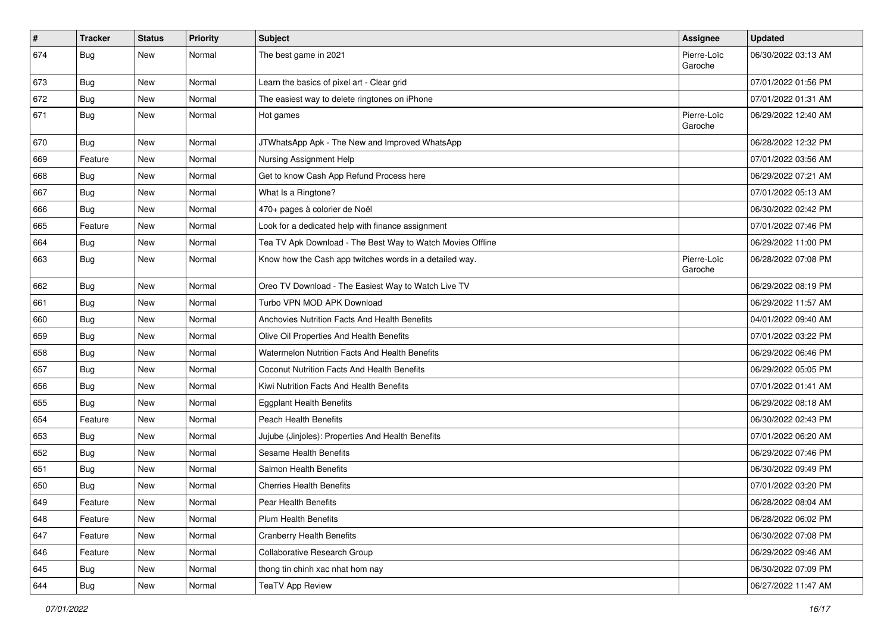| $\vert$ # | <b>Tracker</b> | <b>Status</b> | <b>Priority</b> | <b>Subject</b>                                             | <b>Assignee</b>        | <b>Updated</b>      |
|-----------|----------------|---------------|-----------------|------------------------------------------------------------|------------------------|---------------------|
| 674       | <b>Bug</b>     | New           | Normal          | The best game in 2021                                      | Pierre-Loïc<br>Garoche | 06/30/2022 03:13 AM |
| 673       | Bug            | New           | Normal          | Learn the basics of pixel art - Clear grid                 |                        | 07/01/2022 01:56 PM |
| 672       | <b>Bug</b>     | New           | Normal          | The easiest way to delete ringtones on iPhone              |                        | 07/01/2022 01:31 AM |
| 671       | Bug            | New           | Normal          | Hot games                                                  | Pierre-Loïc<br>Garoche | 06/29/2022 12:40 AM |
| 670       | <b>Bug</b>     | New           | Normal          | JTWhatsApp Apk - The New and Improved WhatsApp             |                        | 06/28/2022 12:32 PM |
| 669       | Feature        | New           | Normal          | Nursing Assignment Help                                    |                        | 07/01/2022 03:56 AM |
| 668       | <b>Bug</b>     | New           | Normal          | Get to know Cash App Refund Process here                   |                        | 06/29/2022 07:21 AM |
| 667       | Bug            | New           | Normal          | What Is a Ringtone?                                        |                        | 07/01/2022 05:13 AM |
| 666       | Bug            | New           | Normal          | 470+ pages à colorier de Noël                              |                        | 06/30/2022 02:42 PM |
| 665       | Feature        | <b>New</b>    | Normal          | Look for a dedicated help with finance assignment          |                        | 07/01/2022 07:46 PM |
| 664       | Bug            | New           | Normal          | Tea TV Apk Download - The Best Way to Watch Movies Offline |                        | 06/29/2022 11:00 PM |
| 663       | <b>Bug</b>     | New           | Normal          | Know how the Cash app twitches words in a detailed way.    | Pierre-Loïc<br>Garoche | 06/28/2022 07:08 PM |
| 662       | Bug            | New           | Normal          | Oreo TV Download - The Easiest Way to Watch Live TV        |                        | 06/29/2022 08:19 PM |
| 661       | <b>Bug</b>     | New           | Normal          | Turbo VPN MOD APK Download                                 |                        | 06/29/2022 11:57 AM |
| 660       | Bug            | New           | Normal          | Anchovies Nutrition Facts And Health Benefits              |                        | 04/01/2022 09:40 AM |
| 659       | <b>Bug</b>     | New           | Normal          | Olive Oil Properties And Health Benefits                   |                        | 07/01/2022 03:22 PM |
| 658       | Bug            | New           | Normal          | Watermelon Nutrition Facts And Health Benefits             |                        | 06/29/2022 06:46 PM |
| 657       | Bug            | New           | Normal          | Coconut Nutrition Facts And Health Benefits                |                        | 06/29/2022 05:05 PM |
| 656       | <b>Bug</b>     | New           | Normal          | Kiwi Nutrition Facts And Health Benefits                   |                        | 07/01/2022 01:41 AM |
| 655       | Bug            | New           | Normal          | <b>Eggplant Health Benefits</b>                            |                        | 06/29/2022 08:18 AM |
| 654       | Feature        | New           | Normal          | Peach Health Benefits                                      |                        | 06/30/2022 02:43 PM |
| 653       | <b>Bug</b>     | New           | Normal          | Jujube (Jinjoles): Properties And Health Benefits          |                        | 07/01/2022 06:20 AM |
| 652       | <b>Bug</b>     | New           | Normal          | Sesame Health Benefits                                     |                        | 06/29/2022 07:46 PM |
| 651       | Bug            | New           | Normal          | Salmon Health Benefits                                     |                        | 06/30/2022 09:49 PM |
| 650       | <b>Bug</b>     | New           | Normal          | <b>Cherries Health Benefits</b>                            |                        | 07/01/2022 03:20 PM |
| 649       | Feature        | New           | Normal          | Pear Health Benefits                                       |                        | 06/28/2022 08:04 AM |
| 648       | Feature        | New           | Normal          | Plum Health Benefits                                       |                        | 06/28/2022 06:02 PM |
| 647       | Feature        | New           | Normal          | <b>Cranberry Health Benefits</b>                           |                        | 06/30/2022 07:08 PM |
| 646       | Feature        | New           | Normal          | Collaborative Research Group                               |                        | 06/29/2022 09:46 AM |
| 645       | Bug            | New           | Normal          | thong tin chinh xac nhat hom nay                           |                        | 06/30/2022 07:09 PM |
| 644       | <b>Bug</b>     | New           | Normal          | <b>TeaTV App Review</b>                                    |                        | 06/27/2022 11:47 AM |